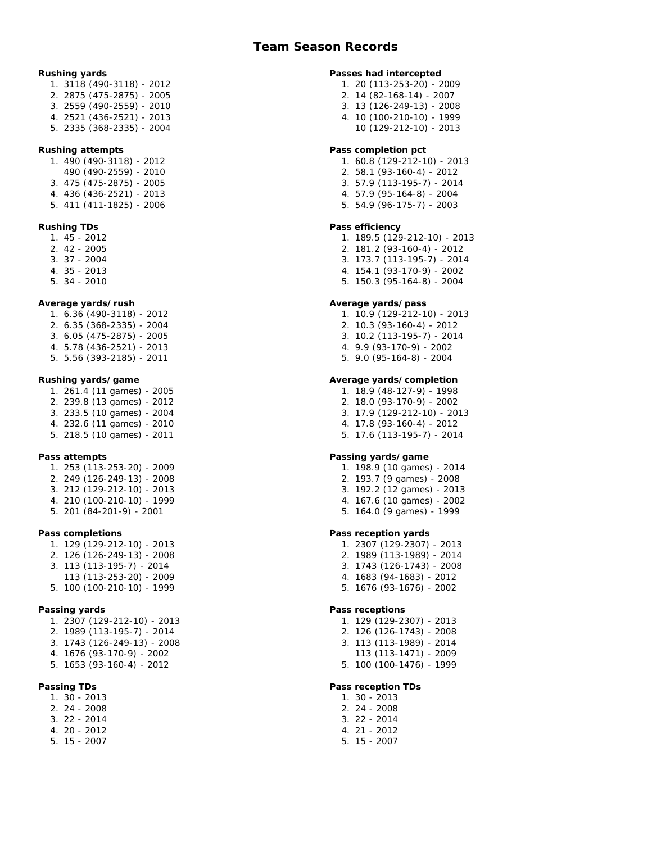**Rushing yards** 1. 3118 (490-3118) - 2012 2. 2875 (475-2875) - 2005 3. 2559 (490-2559) - 2010 4. 2521 (436-2521) - 2013 5. 2335 (368-2335) - 2004 **Rushing attempts** 1. 490 (490-3118) - 2012 490 (490-2559) - 2010 3. 475 (475-2875) - 2005 4. 436 (436-2521) - 2013 5. 411 (411-1825) - 2006 **Rushing TDs** 1. 45 - 2012 2. 42 - 2005 3. 37 - 2004 4. 35 - 2013 5. 34 - 2010 **Average yards/rush** 1. 6.36 (490-3118) - 2012 2. 6.35 (368-2335) - 2004 3. 6.05 (475-2875) - 2005 4. 5.78 (436-2521) - 2013 5. 5.56 (393-2185) - 2011 **Rushing yards/game** 1. 261.4 (11 games) - 2005 2. 239.8 (13 games) - 2012 3. 233.5 (10 games) - 2004 4. 232.6 (11 games) - 2010 5. 218.5 (10 games) - 2011 **Pass attempts** 1. 253 (113-253-20) - 2009 2. 249 (126-249-13) - 2008 3. 212 (129-212-10) - 2013 4. 210 (100-210-10) - 1999 5. 201 (84-201-9) - 2001 **Pass completions** 1. 129 (129-212-10) - 2013 2. 126 (126-249-13) - 2008 3. 113 (113-195-7) - 2014 113 (113-253-20) - 2009 5. 100 (100-210-10) - 1999 **Passing yards** 1. 2307 (129-212-10) - 2013 2. 1989 (113-195-7) - 2014 3. 1743 (126-249-13) - 2008 4. 1676 (93-170-9) - 2002 5. 1653 (93-160-4) - 2012 **Passing TDs** 1. 30 - 2013 2. 24 - 2008 3. 22 - 2014 4. 20 - 2012 5. 15 - 2007

**Passes had intercepted** 1. 20 (113-253-20) - 2009 2. 14 (82-168-14) - 2007 3. 13 (126-249-13) - 2008 4. 10 (100-210-10) - 1999 10 (129-212-10) - 2013 **Pass completion pct** 1. 60.8 (129-212-10) - 2013 2. 58.1 (93-160-4) - 2012 3. 57.9 (113-195-7) - 2014 4. 57.9 (95-164-8) - 2004 5. 54.9 (96-175-7) - 2003 **Pass efficiency** 1. 189.5 (129-212-10) - 2013 2. 181.2 (93-160-4) - 2012 3. 173.7 (113-195-7) - 2014 4. 154.1 (93-170-9) - 2002 5. 150.3 (95-164-8) - 2004 **Average yards/pass** 1. 10.9 (129-212-10) - 2013 2. 10.3 (93-160-4) - 2012 3. 10.2 (113-195-7) - 2014 4. 9.9 (93-170-9) - 2002 5. 9.0 (95-164-8) - 2004 **Average yards/completion** 1. 18.9 (48-127-9) - 1998 2. 18.0 (93-170-9) - 2002 3. 17.9 (129-212-10) - 2013 4. 17.8 (93-160-4) - 2012 5. 17.6 (113-195-7) - 2014 **Passing yards/game** 1. 198.9 (10 games) - 2014 2. 193.7 (9 games) - 2008 3. 192.2 (12 games) - 2013 4. 167.6 (10 games) - 2002 5. 164.0 (9 games) - 1999 **Pass reception yards** 1. 2307 (129-2307) - 2013 2. 1989 (113-1989) - 2014 3. 1743 (126-1743) - 2008 4. 1683 (94-1683) - 2012 5. 1676 (93-1676) - 2002 **Pass receptions** 1. 129 (129-2307) - 2013 2. 126 (126-1743) - 2008 3. 113 (113-1989) - 2014 113 (113-1471) - 2009 5. 100 (100-1476) - 1999 **Pass reception TDs** 1. 30 - 2013 2. 24 - 2008 3. 22 - 2014 4. 21 - 2012 5. 15 - 2007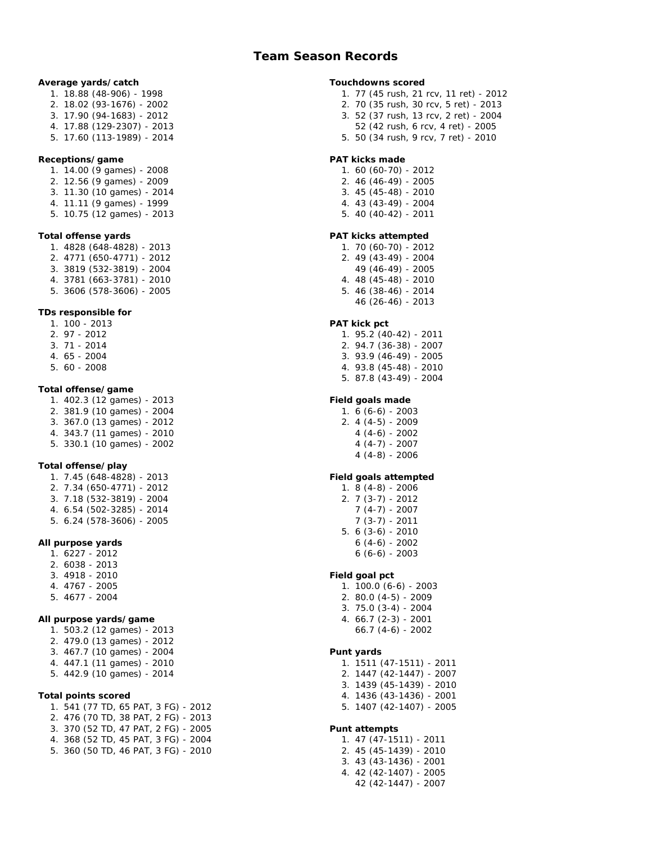## **Team Season Records**

| Average yards/catch<br>1. 18.88 (48-906) - 1998<br>2. 18.02 (93-1676) - 2002<br>3. 17.90 (94-1683) - 2012<br>4. 17.88 (129-2307) - 2013<br>5. 17.60 (113-1989) - 2014                                                  |
|------------------------------------------------------------------------------------------------------------------------------------------------------------------------------------------------------------------------|
| Receptions/game<br>1. 14.00 (9 games) - 2008<br>2. 12.56 (9 games) - 2009<br>3. 11.30 (10 games) - 2014<br>4. 11.11 (9 games) - 1999<br>5. 10.75 (12 games) - 2013                                                     |
| Total offense yards<br>1. 4828 (648-4828) - 2013<br>2. 4771 (650-4771) - 2012<br>$3.3819(532-3819) - 2004$<br>4. 3781 (663-3781) - 2010<br>5. 3606 (578-3606) - 2005                                                   |
| TDs responsible for<br>1. 100 - 2013<br>2. 97 - 2012<br>3. 71 - 2014<br>4. 65 - 2004<br>5. 60 - 2008                                                                                                                   |
| Total offense/game<br>1. 402.3 (12 games) - 2013<br>2. 381.9 (10 games) - 2004<br>3. 367.0 (13 games) - 2012<br>4. 343.7 (11 games) - 2010<br>5. 330.1 (10 games) - 2002                                               |
| Total offense/play<br>1. 7.45 (648-4828) - 2013<br>2. 7.34 (650-4771) - 2012<br>3. 7.18 (532-3819) - 2004<br>4. 6.54 (502-3285) - 2014<br>5. 6.24 (578-3606) - 2005                                                    |
| All purpose yards<br>1. 6227 - 2012<br>2. 6038 - 2013<br>3. 4918 - 2010<br>4. 4767 - 2005<br>5. 4677 - 2004                                                                                                            |
| All purpose yards/game<br>1. 503.2 (12 games) - 2013<br>2. 479.0 (13 games) - 2012<br>3. 467.7 (10 games) - 2004<br>4. 447.1 (11 games) - 2010<br>5. 442.9 (10 games) - 2014                                           |
| Total points scored<br>1. 541 (77 TD, 65 PAT, 3 FG) - 2012<br>2. 476 (70 TD, 38 PAT, 2 FG) - 2013<br>3. 370 (52 TD, 47 PAT, 2 FG) - 2005<br>4. 368 (52 TD, 45 PAT, 3 FG) - 2004<br>5. 360 (50 TD, 46 PAT, 3 FG) - 2010 |

| Touchdowns scored<br>77 (45 rush, 21 rcv, 11 ret) - 2012<br>1.<br>70 (35 rush, 30 rcv, 5 ret) - 2013<br>2.<br>3. 52 (37 rush, 13 rcv, 2 ret) - 2004<br>52 (42 rush, 6 rcv, 4 ret) - 2005<br>50 (34 rush, 9 rcv, 7 ret) - 2010<br>5. |
|-------------------------------------------------------------------------------------------------------------------------------------------------------------------------------------------------------------------------------------|
| PAT kicks made<br>60 (60-70) - 2012<br>1.<br>46 (46-49) - 2005<br>2.<br>3. 45 (45-48) - 2010<br>4. 43 (43-49) - 2004<br>5. 40 (40-42) - 2011                                                                                        |
| PAT kicks attempted<br>1. 70 (60-70) - 2012<br>2. 49 (43-49) - 2004<br>49 (46-49) - 2005<br>48 (45-48) - 2010<br>4.<br>46 (38-46) - 2014<br>5.<br>46 (26-46) - 2013                                                                 |
| PAT kick pct<br>95.2 (40-42) - 2011<br>1.<br>2. 94.7 (36-38) - 2007<br>3. 93.9 (46-49) - 2005<br>4. 93.8 (45-48) - 2010<br>5. 87.8 (43-49) - 2004                                                                                   |
| Field goals made<br>1. 6 (6-6) - 2003<br>$2.4(4-5) - 2009$<br>$4(4-6) - 2002$<br>$4(4-7) - 2007$<br>$4(4-8) - 2006$                                                                                                                 |
| Field goals attempted<br>1. 8 (4-8) - 2006<br>$2.7(3-7) - 2012$<br>$7(4-7) - 2007$<br>$7(3-7) - 2011$<br>$6(3-6) - 2010$<br>5.<br>6 (4-6) - 2002<br>$6(6-6) - 2003$                                                                 |
| Field goal pct<br>100.0 (6-6) - 2003<br>1.<br>80.0 (4-5) - 2009<br>2.<br>$3.75.0(3-4) - 2004$<br>4. 66.7 (2-3) - 2001<br>$66.7(4-6) - 2002$                                                                                         |
| Punt yards<br>1511 (47-1511) - 2011<br>1.<br>2.<br>1447 (42-1447) - 2007<br>3. 1439 (45-1439) - 2010<br>4. 1436 (43-1436) - 2001<br>5. 1407 (42-1407) - 2005                                                                        |
| Punt attempts<br>1. 47 (47-1511) - 2011<br>2. 45 (45-1439) - 2010<br>3. 43 (43-1436) - 2001<br>4. 42 (42-1407) - 2005<br>42 (42-1447) - 2007                                                                                        |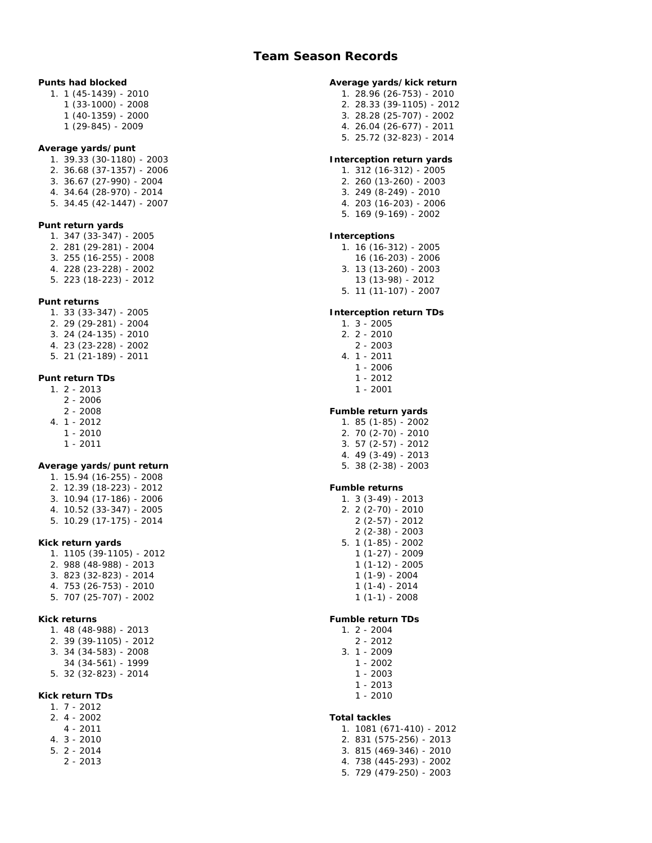## **Team Season Records**

| Punts had blocked<br>1 (45-1439) - 2010<br>$\mathbf{1}$ .<br>1 (33-1000) - 2008<br>1 (40-1359) - 2000<br>1 (29-845) - 2009                                                  |
|-----------------------------------------------------------------------------------------------------------------------------------------------------------------------------|
| Average yards/punt<br>39.33 (30-1180) - 2003<br>36.68 (37-1357) - 2006<br>1.<br>2.<br>3. 36.67 (27-990) - 2004<br>4. 34.64 (28-970) - 2014<br>5. 34.45 (42-1447) - 2007     |
| Punt return yards<br>1. 347 (33-347) - 2005<br>2. 281 (29-281) - 2004<br>3. 255 (16-255) - 2008<br>4. 228 (23-228) - 2002<br>223 (18-223) - 2012<br>5.                      |
| Punt returns<br>1. 33 (33-347) - 2005<br>2. 29 (29-281) - 2004<br>$3.24(24-135) - 2010$<br>4. 23 (23-228) - 2002<br>21 (21-189) - 2011<br>5.                                |
| Punt return TDs<br>$1.2 - 2013$<br>$2 - 2006$<br>$2 - 2008$<br>$1 - 2012$<br>4.<br>$1 - 2010$<br>$1 - 2011$                                                                 |
| Average yards/punt return<br>1. 15.94 (16-255) - 2008<br>2. 12.39 (18-223) - 2012<br>3. 10.94 (17-186) - 2006<br>10.52 (33-347) - 2005<br>4.<br>10.29 (17-175) - 2014<br>5. |
| Kick return yards<br>1. 1105 (39-1105) - 2012<br>2. 988 (48-988) - 2013<br>3. 823 (32-823) - 2014<br>753 (26-753) - 2010<br>4.<br>$\frac{1}{2}$ 707 (25 - 707) - 2002       |
| Kick returns<br>1. 48 (48-988) - 2013<br>2. 39 (39-1105) - 2012<br>3. 34 (34-583) - 2008<br>34 (34-561) - 1999<br>5. 32 (32-823) - 2014                                     |
| Kick return TDs<br>$1.7 - 2012$<br>$2.4 - 2002$<br>$4 - 2011$<br>4.<br>$3 - 2010$<br>$5. 2 - 2014$<br>$2 - 2013$                                                            |

| Average yards/kick return<br>1. 28.96 (26-753) - 2010<br>2. 28.33 (39-1105) - 2012<br>$3.28.28(25-707) - 2002$<br>4. 26.04 (26-677) - 2011<br>5. 25.72 (32-823) - 2014                                                    |
|---------------------------------------------------------------------------------------------------------------------------------------------------------------------------------------------------------------------------|
| Interception return yards<br>1. 312 (16-312) - 2005<br>2. 260 (13-260) - 2003<br>$3.249(8-249) - 2010$<br>4. 203 (16-203) - 2006<br>5. 169 (9-169) - 2002                                                                 |
| Interceptions<br>16 (16-312) - 2005<br>1.<br>16 (16-203) - 2006<br>13 (13-260) - 2003<br>3.<br>13 (13-98) - 2012<br>11 (11-107) - 2007<br>5.                                                                              |
| Interception return TDs<br>$1.3 - 2005$<br>$2.2 - 2010$<br>$2 - 2003$<br>$4. 1 - 2011$<br>$1 - 2006$<br>$1 - 2012$<br>$1 - 2001$                                                                                          |
| Fumble return yards<br>1. 85 (1-85) - 2002<br>2. 70 (2-70) - 2010<br>3. 57 (2-57) - 2012<br>4. 49 (3-49) - 2013<br>5. 38 (2-38) - 2003                                                                                    |
| Fumble returns<br>$1.3(3-49) - 2013$<br>2. 2 (2-70) - 2010<br>$2(2-57) - 2012$<br>$2(2-38) - 2003$<br>$5. 1(1-85) - 2002$<br>1 (1-27) - 2009<br>$1(1-12) - 2005$<br>$1(1-9) - 2004$<br>$1(1-4) - 2014$<br>$1(1-1) - 2008$ |
| Fumble return TDs<br>$2 - 2004$<br>1.<br>$2 - 2012$<br>$1 - 2009$<br>3.<br>$1 - 2002$<br>$1 - 2003$<br>$1 - 2013$<br>$1 - 2010$                                                                                           |
| Total tackles<br>1081 (671-410) - 2012<br>1.<br>2. 831 (575-256) - 2013<br>815 (469-346) - 2010<br>3.<br>738 (445-293) - 2002<br>4.<br>5. 729 (479-250) - 2003                                                            |